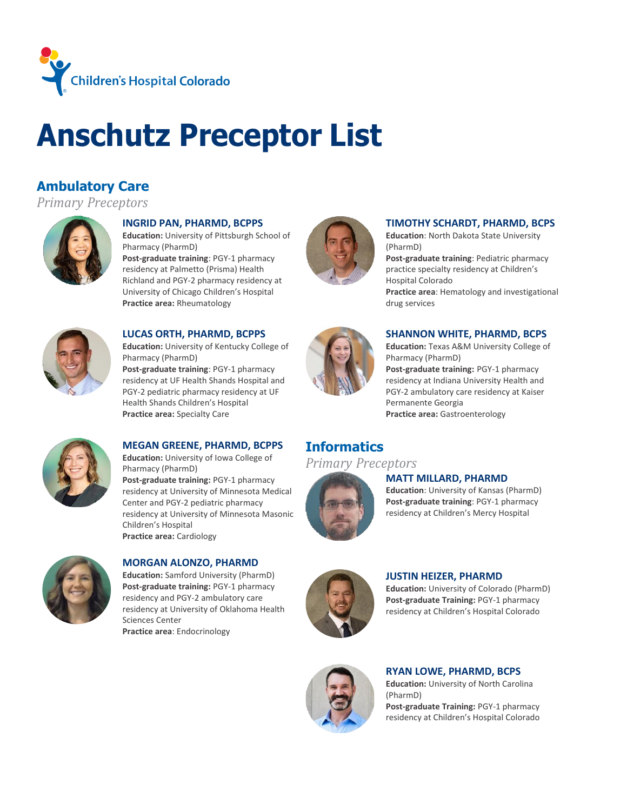

# **Anschutz Preceptor List**

# **Ambulatory Care**

*Primary Preceptors*



#### **INGRID PAN, PHARMD, BCPPS**

**Education:** University of Pittsburgh School of Pharmacy (PharmD)

**Post-graduate training**: PGY-1 pharmacy residency at Palmetto (Prisma) Health Richland and PGY-2 pharmacy residency at University of Chicago Children's Hospital **Practice area:** Rheumatology



#### **LUCAS ORTH, PHARMD, BCPPS**

**Education:** University of Kentucky College of Pharmacy (PharmD) **Post-graduate training**: PGY-1 pharmacy residency at UF Health Shands Hospital and PGY-2 pediatric pharmacy residency at UF Health Shands Children's Hospital **Practice area:** Specialty Care



#### **TIMOTHY SCHARDT, PHARMD, BCPS**

**Education**: North Dakota State University (PharmD)

**Post-graduate training**: Pediatric pharmacy practice specialty residency at Children's Hospital Colorado **Practice area**: Hematology and investigational drug services



#### **SHANNON WHITE, PHARMD, BCPS**

**Education:** Texas A&M University College of Pharmacy (PharmD)

**Post-graduate training:** PGY-1 pharmacy residency at Indiana University Health and PGY-2 ambulatory care residency at Kaiser Permanente Georgia **Practice area:** Gastroenterology



#### **MEGAN GREENE, PHARMD, BCPPS**

**Education:** University of Iowa College of Pharmacy (PharmD) **Post-graduate training:** PGY-1 pharmacy residency at University of Minnesota Medical Center and PGY-2 pediatric pharmacy residency at University of Minnesota Masonic Children's Hospital **Practice area:** Cardiology

### **MORGAN ALONZO, PHARMD**

**Education:** Samford University (PharmD) **Post-graduate training:** PGY-1 pharmacy residency and PGY-2 ambulatory care residency at University of Oklahoma Health Sciences Center

**Practice area**: Endocrinology

# **Informatics**

### *Primary Preceptors*



#### **MATT MILLARD, PHARMD**

**Education**: University of Kansas (PharmD) **Post-graduate training**: PGY-1 pharmacy residency at Children's Mercy Hospital



#### **JUSTIN HEIZER, PHARMD**

**Education:** University of Colorado (PharmD) **Post-graduate Training:** PGY-1 pharmacy residency at Children's Hospital Colorado



#### **RYAN LOWE, PHARMD, BCPS**

**Education:** University of North Carolina (PharmD)

**Post-graduate Training:** PGY-1 pharmacy residency at Children's Hospital Colorado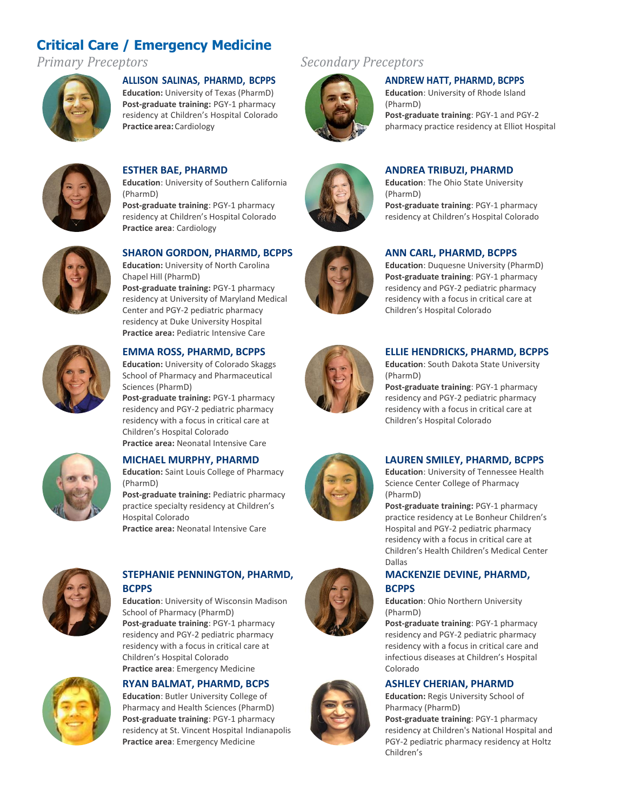# **Critical Care / Emergency Medicine**



#### **ALLISON SALINAS, PHARMD, BCPPS**

**Education:** University of Texas (PharmD) **Post-graduate training:** PGY-1 pharmacy residency at Children's Hospital Colorado **Practice area:** Cardiology



### **ESTHER BAE, PHARMD**

**Practice area**: Cardiology

**Education**: University of Southern California (PharmD) **Post-graduate training**: PGY-1 pharmacy residency at Children's Hospital Colorado



#### **SHARON GORDON, PHARMD, BCPPS**

**Education:** University of North Carolina Chapel Hill (PharmD) **Post-graduate training:** PGY-1 pharmacy residency at University of Maryland Medical Center and PGY-2 pediatric pharmacy residency at Duke University Hospital **Practice area:** Pediatric Intensive Care



#### **EMMA ROSS, PHARMD, BCPPS**

**Education:** University of Colorado Skaggs School of Pharmacy and Pharmaceutical Sciences (PharmD)

**Post-graduate training:** PGY-1 pharmacy residency and PGY-2 pediatric pharmacy residency with a focus in critical care at Children's Hospital Colorado **Practice area:** Neonatal Intensive Care



#### **MICHAEL MURPHY, PHARMD**

**Education:** Saint Louis College of Pharmacy (PharmD) **Post-graduate training:** Pediatric pharmacy

practice specialty residency at Children's Hospital Colorado

**Practice area:** Neonatal Intensive Care



#### **STEPHANIE PENNINGTON, PHARMD, BCPPS**

**Education**: University of Wisconsin Madison School of Pharmacy (PharmD) **Post-graduate training**: PGY-1 pharmacy residency and PGY-2 pediatric pharmacy residency with a focus in critical care at Children's Hospital Colorado **Practice area**: Emergency Medicine



#### **RYAN BALMAT, PHARMD, BCPS**

**Education**: Butler University College of Pharmacy and Health Sciences (PharmD) **Post-graduate training**: PGY-1 pharmacy residency at St. Vincent Hospital Indianapolis **Practice area**: Emergency Medicine

# *Primary Preceptors Secondary Preceptors*



#### **ANDREW HATT, PHARMD, BCPPS**

**Education**: University of Rhode Island (PharmD) **Post-graduate training**: PGY-1 and PGY-2 pharmacy practice residency at Elliot Hospital



# **ANDREA TRIBUZI, PHARMD**

**Education**: The Ohio State University (PharmD) **Post-graduate training**: PGY-1 pharmacy residency at Children's Hospital Colorado



#### **ANN CARL, PHARMD, BCPPS**

**Education**: Duquesne University (PharmD) **Post-graduate training**: PGY-1 pharmacy residency and PGY-2 pediatric pharmacy residency with a focus in critical care at Children's Hospital Colorado



#### **ELLIE HENDRICKS, PHARMD, BCPPS**

**Education**: South Dakota State University (PharmD)

**Post-graduate training**: PGY-1 pharmacy residency and PGY-2 pediatric pharmacy residency with a focus in critical care at Children's Hospital Colorado



#### **LAUREN SMILEY, PHARMD, BCPPS**

**Education**: University of Tennessee Health Science Center College of Pharmacy (PharmD)

**Post-graduate training:** PGY-1 pharmacy practice residency at Le Bonheur Children's Hospital and PGY-2 pediatric pharmacy residency with a focus in critical care at Children's Health Children's Medical Center Dallas

#### **MACKENZIE DEVINE, PHARMD, BCPPS**

**Education**: Ohio Northern University (PharmD)

**Post-graduate training**: PGY-1 pharmacy residency and PGY-2 pediatric pharmacy residency with a focus in critical care and infectious diseases at Children's Hospital Colorado

#### **ASHLEY CHERIAN, PHARMD**

**Education:** Regis University School of Pharmacy (PharmD)

**Post-graduate training**: PGY-1 pharmacy residency at Children's National Hospital and PGY-2 pediatric pharmacy residency at Holtz Children's



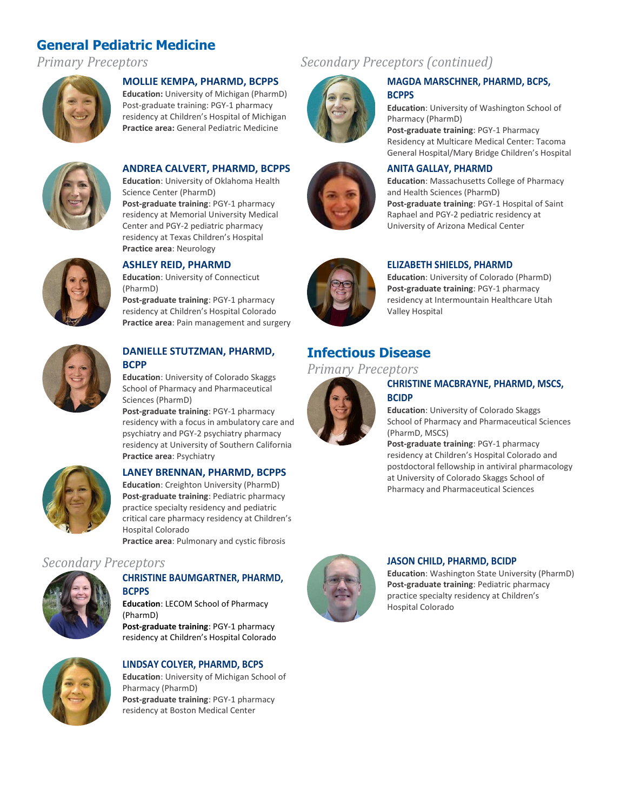# **General Pediatric Medicine**



#### **MOLLIE KEMPA, PHARMD, BCPPS**

**Education:** University of Michigan (PharmD) Post-graduate training: PGY-1 pharmacy residency at Children's Hospital of Michigan **Practice area:** General Pediatric Medicine



#### **ANDREA CALVERT, PHARMD, BCPPS**

**Education**: University of Oklahoma Health Science Center (PharmD) **Post-graduate training**: PGY-1 pharmacy residency at Memorial University Medical Center and PGY-2 pediatric pharmacy residency at Texas Children's Hospital **Practice area**: Neurology



#### **ASHLEY REID, PHARMD**

**Education**: University of Connecticut (PharmD)

**Post-graduate training**: PGY-1 pharmacy residency at Children's Hospital Colorado **Practice area**: Pain management and surgery



#### **DANIELLE STUTZMAN, PHARMD, BCPP**

**Education**: University of Colorado Skaggs School of Pharmacy and Pharmaceutical Sciences (PharmD)

**Post-graduate training**: PGY-1 pharmacy residency with a focus in ambulatory care and psychiatry and PGY-2 psychiatry pharmacy residency at University of Southern California **Practice area**: Psychiatry



#### **LANEY BRENNAN, PHARMD, BCPPS**

**Education**: Creighton University (PharmD) **Post-graduate training**: Pediatric pharmacy practice specialty residency and pediatric critical care pharmacy residency at Children's Hospital Colorado **Practice area**: Pulmonary and cystic fibrosis

### *Secondary Preceptors* **JASON CHILD, PHARMD, BCIDP**



#### **CHRISTINE BAUMGARTNER, PHARMD, BCPPS**

**Education**: LECOM School of Pharmacy (PharmD)

**Post-graduate training**: PGY-1 pharmacy residency at Children's Hospital Colorado



# **LINDSAY COLYER, PHARMD, BCPS**

**Education**: University of Michigan School of Pharmacy (PharmD) **Post-graduate training**: PGY-1 pharmacy residency at Boston Medical Center

# *Primary Preceptors Secondary Preceptors (continued)*





#### **MAGDA MARSCHNER, PHARMD, BCPS, BCPPS**

**Education**: University of Washington School of Pharmacy (PharmD)

**Post-graduate training**: PGY-1 Pharmacy Residency at Multicare Medical Center: Tacoma General Hospital/Mary Bridge Children's Hospital

#### **ANITA GALLAY, PHARMD**

**Education**: Massachusetts College of Pharmacy and Health Sciences (PharmD) **Post-graduate training**: PGY-1 Hospital of Saint Raphael and PGY-2 pediatric residency at University of Arizona Medical Center



#### **ELIZABETH SHIELDS, PHARMD**

**Education**: University of Colorado (PharmD) **Post-graduate training**: PGY-1 pharmacy residency at Intermountain Healthcare Utah Valley Hospital

# **Infectious Disease**

## *Primary Preceptors*



#### **CHRISTINE MACBRAYNE, PHARMD, MSCS, BCIDP**

**Education**: University of Colorado Skaggs School of Pharmacy and Pharmaceutical Sciences (PharmD, MSCS)

**Post-graduate training**: PGY-1 pharmacy residency at Children's Hospital Colorado and postdoctoral fellowship in antiviral pharmacology at University of Colorado Skaggs School of Pharmacy and Pharmaceutical Sciences



**Education**: Washington State University (PharmD) **Post-graduate training**: Pediatric pharmacy practice specialty residency at Children's Hospital Colorado

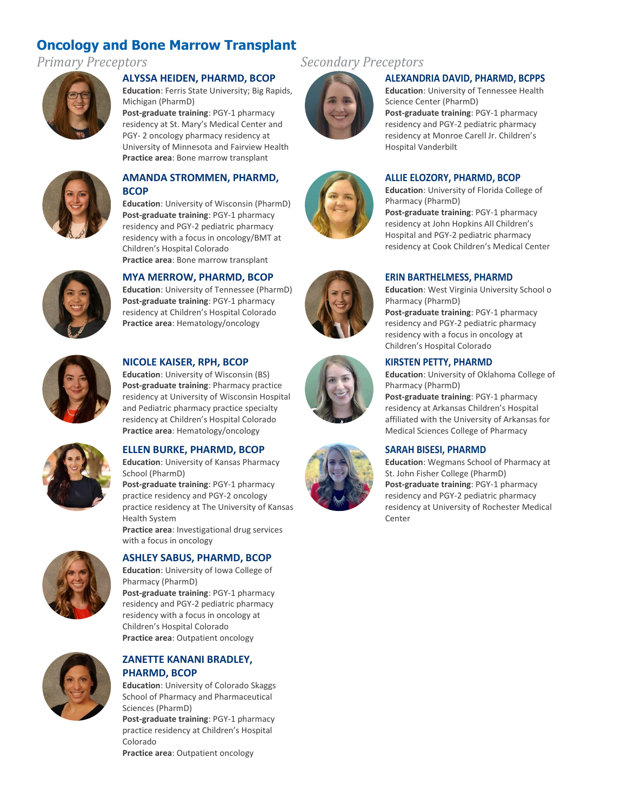# **Oncology and Bone Marrow Transplant**



#### **ALYSSA HEIDEN, PHARMD, BCOP**

**Education**: Ferris State University; Big Rapids, Michigan (PharmD)

**Post-graduate training**: PGY-1 pharmacy residency at St. Mary's Medical Center and PGY- 2 oncology pharmacy residency at University of Minnesota and Fairview Health **Practice area**: Bone marrow transplant



#### **AMANDA STROMMEN, PHARMD, BCOP**

**Education**: University of Wisconsin (PharmD) **Post-graduate training**: PGY-1 pharmacy residency and PGY-2 pediatric pharmacy residency with a focus in oncology/BMT at Children's Hospital Colorado **Practice area**: Bone marrow transplant



### **MYA MERROW, PHARMD, BCOP**

**Education**: University of Tennessee (PharmD) **Post-graduate training**: PGY-1 pharmacy residency at Children's Hospital Colorado **Practice area**: Hematology/oncology



#### **NICOLE KAISER, RPH, BCOP**

**Education**: University of Wisconsin (BS) **Post-graduate training**: Pharmacy practice residency at University of Wisconsin Hospital and Pediatric pharmacy practice specialty residency at Children's Hospital Colorado **Practice area**: Hematology/oncology



#### **ELLEN BURKE, PHARMD, BCOP**

**Education**: University of Kansas Pharmacy School (PharmD)

**Post-graduate training**: PGY-1 pharmacy practice residency and PGY-2 oncology practice residency at The University of Kansas Health System

**Practice area**: Investigational drug services with a focus in oncology



#### **ASHLEY SABUS, PHARMD, BCOP**

**Education**: University of Iowa College of Pharmacy (PharmD) **Post-graduate training**: PGY-1 pharmacy residency and PGY-2 pediatric pharmacy residency with a focus in oncology at Children's Hospital Colorado **Practice area**: Outpatient oncology



#### **ZANETTE KANANI BRADLEY, PHARMD, BCOP**

**Education**: University of Colorado Skaggs School of Pharmacy and Pharmaceutical Sciences (PharmD)

**Post-graduate training**: PGY-1 pharmacy practice residency at Children's Hospital Colorado

**Practice area**: Outpatient oncology

# *Primary Preceptors Secondary Preceptors*



#### **ALEXANDRIA DAVID, PHARMD, BCPPS**

**Education**: University of Tennessee Health Science Center (PharmD) **Post-graduate training**: PGY-1 pharmacy residency and PGY-2 pediatric pharmacy residency at Monroe Carell Jr. Children's Hospital Vanderbilt

#### **ALLIE ELOZORY, PHARMD, BCOP**

**Education**: University of Florida College of Pharmacy (PharmD) **Post-graduate training**: PGY-1 pharmacy residency at John Hopkins All Children's Hospital and PGY-2 pediatric pharmacy residency at Cook Children's Medical Center

#### **ERIN BARTHELMESS, PHARMD**

**Education**: West Virginia University School o Pharmacy (PharmD) **Post-graduate training**: PGY-1 pharmacy residency and PGY-2 pediatric pharmacy residency with a focus in oncology at Children's Hospital Colorado

#### **KIRSTEN PETTY, PHARMD**

**Education**: University of Oklahoma College of Pharmacy (PharmD)

**Post-graduate training**: PGY-1 pharmacy residency at Arkansas Children's Hospital affiliated with the University of Arkansas for Medical Sciences College of Pharmacy

#### **SARAH BISESI, PHARMD**

**Education**: Wegmans School of Pharmacy at St. John Fisher College (PharmD) **Post-graduate training**: PGY-1 pharmacy residency and PGY-2 pediatric pharmacy residency at University of Rochester Medical Center